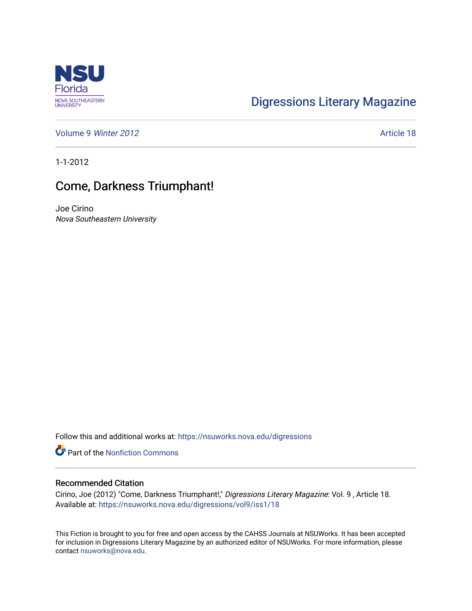

## [Digressions Literary Magazine](https://nsuworks.nova.edu/digressions)

[Volume 9](https://nsuworks.nova.edu/digressions/vol9) Winter 2012 **Article 18** 

1-1-2012

## Come, Darkness Triumphant!

Joe Cirino Nova Southeastern University

Follow this and additional works at: [https://nsuworks.nova.edu/digressions](https://nsuworks.nova.edu/digressions?utm_source=nsuworks.nova.edu%2Fdigressions%2Fvol9%2Fiss1%2F18&utm_medium=PDF&utm_campaign=PDFCoverPages) 

**C** Part of the Nonfiction Commons

## Recommended Citation

Cirino, Joe (2012) "Come, Darkness Triumphant!," Digressions Literary Magazine: Vol. 9 , Article 18. Available at: [https://nsuworks.nova.edu/digressions/vol9/iss1/18](https://nsuworks.nova.edu/digressions/vol9/iss1/18?utm_source=nsuworks.nova.edu%2Fdigressions%2Fvol9%2Fiss1%2F18&utm_medium=PDF&utm_campaign=PDFCoverPages) 

This Fiction is brought to you for free and open access by the CAHSS Journals at NSUWorks. It has been accepted for inclusion in Digressions Literary Magazine by an authorized editor of NSUWorks. For more information, please contact [nsuworks@nova.edu.](mailto:nsuworks@nova.edu)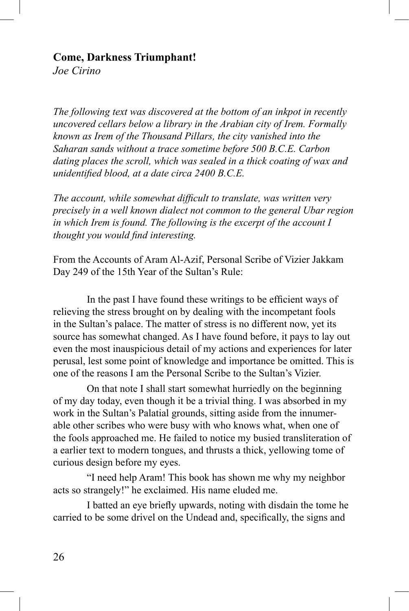## **Come, Darkness Triumphant!**

*Joe Cirino*

*The following text was discovered at the bottom of an inkpot in recently uncovered cellars below a library in the Arabian city of Irem. Formally known as Irem of the Thousand Pillars, the city vanished into the Saharan sands without a trace sometime before 500 B.C.E. Carbon dating places the scroll, which was sealed in a thick coating of wax and unidentified blood, at a date circa 2400 B.C.E.*

*The account, while somewhat difficult to translate, was written very precisely in a well known dialect not common to the general Ubar region in which Irem is found. The following is the excerpt of the account I thought you would find interesting.*

From the Accounts of Aram Al-Azif, Personal Scribe of Vizier Jakkam Day 249 of the 15th Year of the Sultan's Rule:

In the past I have found these writings to be efficient ways of relieving the stress brought on by dealing with the incompetant fools in the Sultan's palace. The matter of stress is no different now, yet its source has somewhat changed. As I have found before, it pays to lay out even the most inauspicious detail of my actions and experiences for later perusal, lest some point of knowledge and importance be omitted. This is one of the reasons I am the Personal Scribe to the Sultan's Vizier.

On that note I shall start somewhat hurriedly on the beginning of my day today, even though it be a trivial thing. I was absorbed in my work in the Sultan's Palatial grounds, sitting aside from the innumerable other scribes who were busy with who knows what, when one of the fools approached me. He failed to notice my busied transliteration of a earlier text to modern tongues, and thrusts a thick, yellowing tome of curious design before my eyes.

"I need help Aram! This book has shown me why my neighbor acts so strangely!" he exclaimed. His name eluded me.

I batted an eye briefly upwards, noting with disdain the tome he carried to be some drivel on the Undead and, specifically, the signs and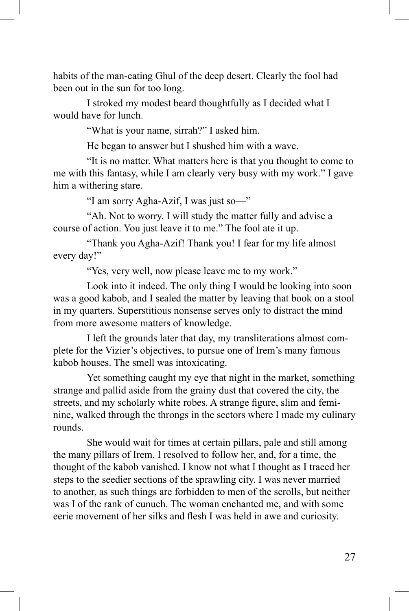habits of the man-eating Ghul of the deep desert. Clearly the fool had been out in the sun for too long.

I stroked my modest beard thoughtfully as I decided what I would have for lunch.

"What is your name, sirrah?" I asked him.

He began to answer but I shushed him with a wave.

"It is no matter. What matters here is that you thought to come to me with this fantasy, while I am clearly very busy with my work." I gave him a withering stare.

"I am sorry Agha-Azif, I was just so—"

"Ah. Not to worry. I will study the matter fully and advise a course of action. You just leave it to me." The fool ate it up.

"Thank you Agha-Azif! Thank you! I fear for my life almost every day!"

"Yes, very well, now please leave me to my work."

Look into it indeed. The only thing I would be looking into soon was a good kabob, and I sealed the matter by leaving that book on a stool in my quarters. Superstitious nonsense serves only to distract the mind from more awesome matters of knowledge.

I left the grounds later that day, my transliterations almost complete for the Vizier's objectives, to pursue one of Irem's many famous kabob houses. The smell was intoxicating.

Yet something caught my eye that night in the market, something strange and pallid aside from the grainy dust that covered the city, the streets, and my scholarly white robes. A strange figure, slim and feminine, walked through the throngs in the sectors where I made my culinary rounds.

She would wait for times at certain pillars, pale and still among the many pillars of Irem. I resolved to follow her, and, for a time, the thought of the kabob vanished. I know not what I thought as I traced her steps to the seedier sections of the sprawling city. I was never married to another, as such things are forbidden to men of the scrolls, but neither was I of the rank of eunuch. The woman enchanted me, and with some eerie movement of her silks and flesh I was held in awe and curiosity.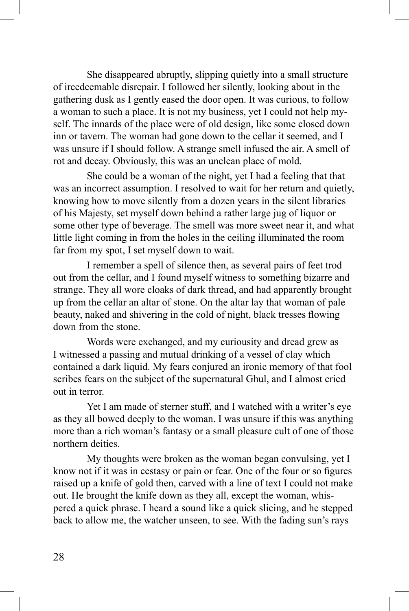She disappeared abruptly, slipping quietly into a small structure of ireedeemable disrepair. I followed her silently, looking about in the gathering dusk as I gently eased the door open. It was curious, to follow a woman to such a place. It is not my business, yet I could not help myself. The innards of the place were of old design, like some closed down inn or tavern. The woman had gone down to the cellar it seemed, and I was unsure if I should follow. A strange smell infused the air. A smell of rot and decay. Obviously, this was an unclean place of mold.

She could be a woman of the night, yet I had a feeling that that was an incorrect assumption. I resolved to wait for her return and quietly, knowing how to move silently from a dozen years in the silent libraries of his Majesty, set myself down behind a rather large jug of liquor or some other type of beverage. The smell was more sweet near it, and what little light coming in from the holes in the ceiling illuminated the room far from my spot, I set myself down to wait.

I remember a spell of silence then, as several pairs of feet trod out from the cellar, and I found myself witness to something bizarre and strange. They all wore cloaks of dark thread, and had apparently brought up from the cellar an altar of stone. On the altar lay that woman of pale beauty, naked and shivering in the cold of night, black tresses flowing down from the stone.

Words were exchanged, and my curiousity and dread grew as I witnessed a passing and mutual drinking of a vessel of clay which contained a dark liquid. My fears conjured an ironic memory of that fool scribes fears on the subject of the supernatural Ghul, and I almost cried out in terror.

Yet I am made of sterner stuff, and I watched with a writer's eye as they all bowed deeply to the woman. I was unsure if this was anything more than a rich woman's fantasy or a small pleasure cult of one of those northern deities.

My thoughts were broken as the woman began convulsing, yet I know not if it was in ecstasy or pain or fear. One of the four or so figures raised up a knife of gold then, carved with a line of text I could not make out. He brought the knife down as they all, except the woman, whispered a quick phrase. I heard a sound like a quick slicing, and he stepped back to allow me, the watcher unseen, to see. With the fading sun's rays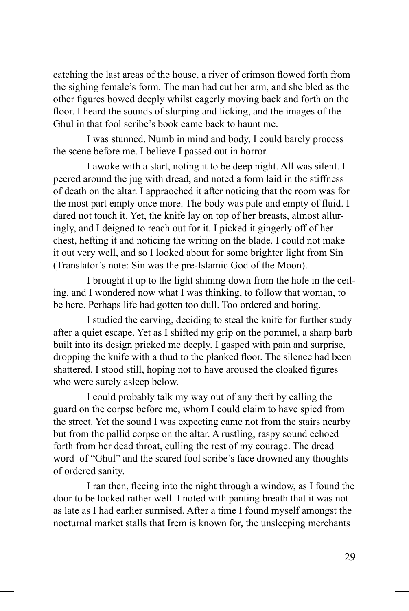catching the last areas of the house, a river of crimson flowed forth from the sighing female's form. The man had cut her arm, and she bled as the other figures bowed deeply whilst eagerly moving back and forth on the floor. I heard the sounds of slurping and licking, and the images of the Ghul in that fool scribe's book came back to haunt me.

I was stunned. Numb in mind and body, I could barely process the scene before me. I believe I passed out in horror.

I awoke with a start, noting it to be deep night. All was silent. I peered around the jug with dread, and noted a form laid in the stiffness of death on the altar. I appraoched it after noticing that the room was for the most part empty once more. The body was pale and empty of fluid. I dared not touch it. Yet, the knife lay on top of her breasts, almost alluringly, and I deigned to reach out for it. I picked it gingerly off of her chest, hefting it and noticing the writing on the blade. I could not make it out very well, and so I looked about for some brighter light from Sin (Translator's note: Sin was the pre-Islamic God of the Moon).

I brought it up to the light shining down from the hole in the ceiling, and I wondered now what I was thinking, to follow that woman, to be here. Perhaps life had gotten too dull. Too ordered and boring.

I studied the carving, deciding to steal the knife for further study after a quiet escape. Yet as I shifted my grip on the pommel, a sharp barb built into its design pricked me deeply. I gasped with pain and surprise, dropping the knife with a thud to the planked floor. The silence had been shattered. I stood still, hoping not to have aroused the cloaked figures who were surely asleep below.

I could probably talk my way out of any theft by calling the guard on the corpse before me, whom I could claim to have spied from the street. Yet the sound I was expecting came not from the stairs nearby but from the pallid corpse on the altar. A rustling, raspy sound echoed forth from her dead throat, culling the rest of my courage. The dread word of "Ghul" and the scared fool scribe's face drowned any thoughts of ordered sanity.

I ran then, fleeing into the night through a window, as I found the door to be locked rather well. I noted with panting breath that it was not as late as I had earlier surmised. After a time I found myself amongst the nocturnal market stalls that Irem is known for, the unsleeping merchants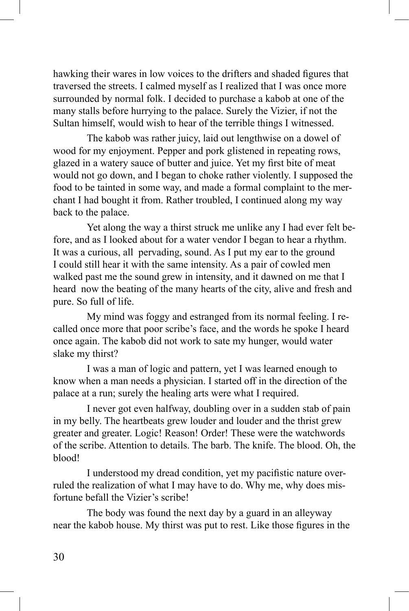hawking their wares in low voices to the drifters and shaded figures that traversed the streets. I calmed myself as I realized that I was once more surrounded by normal folk. I decided to purchase a kabob at one of the many stalls before hurrying to the palace. Surely the Vizier, if not the Sultan himself, would wish to hear of the terrible things I witnessed.

The kabob was rather juicy, laid out lengthwise on a dowel of wood for my enjoyment. Pepper and pork glistened in repeating rows, glazed in a watery sauce of butter and juice. Yet my first bite of meat would not go down, and I began to choke rather violently. I supposed the food to be tainted in some way, and made a formal complaint to the merchant I had bought it from. Rather troubled, I continued along my way back to the palace.

Yet along the way a thirst struck me unlike any I had ever felt before, and as I looked about for a water vendor I began to hear a rhythm. It was a curious, all pervading, sound. As I put my ear to the ground I could still hear it with the same intensity. As a pair of cowled men walked past me the sound grew in intensity, and it dawned on me that I heard now the beating of the many hearts of the city, alive and fresh and pure. So full of life.

My mind was foggy and estranged from its normal feeling. I recalled once more that poor scribe's face, and the words he spoke I heard once again. The kabob did not work to sate my hunger, would water slake my thirst?

I was a man of logic and pattern, yet I was learned enough to know when a man needs a physician. I started off in the direction of the palace at a run; surely the healing arts were what I required.

I never got even halfway, doubling over in a sudden stab of pain in my belly. The heartbeats grew louder and louder and the thrist grew greater and greater. Logic! Reason! Order! These were the watchwords of the scribe. Attention to details. The barb. The knife. The blood. Oh, the blood!

I understood my dread condition, yet my pacifistic nature overruled the realization of what I may have to do. Why me, why does misfortune befall the Vizier's scribe!

The body was found the next day by a guard in an alleyway near the kabob house. My thirst was put to rest. Like those figures in the